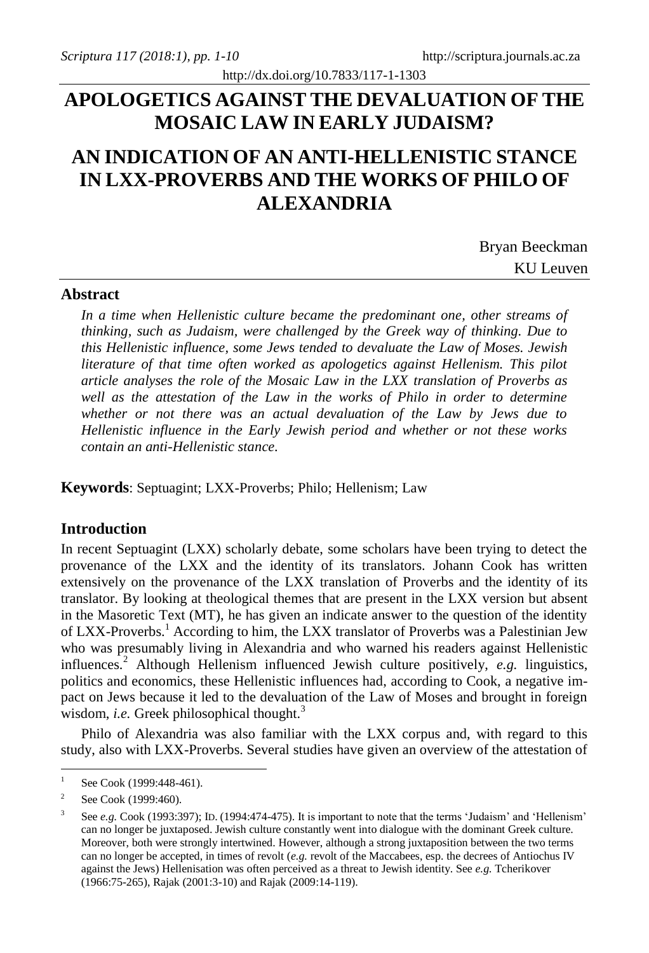# **APOLOGETICS AGAINST THE DEVALUATION OF THE MOSAIC LAW IN EARLY JUDAISM?**

http://dx.doi.org/10.7833/117-1-1303

# **AN INDICATION OF AN ANTI-HELLENISTIC STANCE IN LXX-PROVERBS AND THE WORKS OF PHILO OF ALEXANDRIA**

Bryan Beeckman KU Leuven

### **Abstract**

*In a time when Hellenistic culture became the predominant one, other streams of thinking, such as Judaism, were challenged by the Greek way of thinking. Due to this Hellenistic influence, some Jews tended to devaluate the Law of Moses. Jewish literature of that time often worked as apologetics against Hellenism. This pilot article analyses the role of the Mosaic Law in the LXX translation of Proverbs as well as the attestation of the Law in the works of Philo in order to determine whether or not there was an actual devaluation of the Law by Jews due to Hellenistic influence in the Early Jewish period and whether or not these works contain an anti-Hellenistic stance.*

**Keywords**: Septuagint; LXX-Proverbs; Philo; Hellenism; Law

### **Introduction**

In recent Septuagint (LXX) scholarly debate, some scholars have been trying to detect the provenance of the LXX and the identity of its translators. Johann Cook has written extensively on the provenance of the LXX translation of Proverbs and the identity of its translator. By looking at theological themes that are present in the LXX version but absent in the Masoretic Text (MT), he has given an indicate answer to the question of the identity of LXX-Proverbs.<sup>1</sup> According to him, the LXX translator of Proverbs was a Palestinian Jew who was presumably living in Alexandria and who warned his readers against Hellenistic influences.<sup>2</sup> Although Hellenism influenced Jewish culture positively, *e.g.* linguistics, politics and economics, these Hellenistic influences had, according to Cook, a negative impact on Jews because it led to the devaluation of the Law of Moses and brought in foreign wisdom, *i.e.* Greek philosophical thought.<sup>3</sup>

Philo of Alexandria was also familiar with the LXX corpus and, with regard to this study, also with LXX-Proverbs. Several studies have given an overview of the attestation of

 $\frac{1}{1}$ See Cook (1999:448-461).

<sup>2</sup> See Cook (1999:460).

<sup>3</sup> See *e.g.* Cook (1993:397); ID. (1994:474-475). It is important to note that the terms 'Judaism' and 'Hellenism' can no longer be juxtaposed. Jewish culture constantly went into dialogue with the dominant Greek culture. Moreover, both were strongly intertwined. However, although a strong juxtaposition between the two terms can no longer be accepted, in times of revolt (*e.g.* revolt of the Maccabees, esp. the decrees of Antiochus IV against the Jews) Hellenisation was often perceived as a threat to Jewish identity. See *e.g.* Tcherikover (1966:75-265), Rajak (2001:3-10) and Rajak (2009:14-119).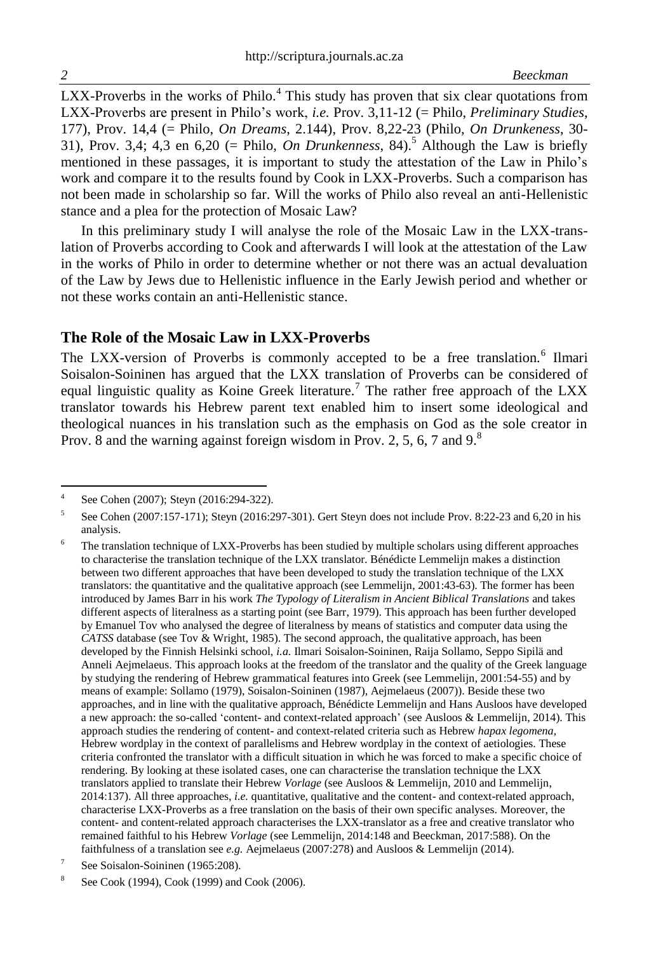$LXX$ -Proverbs in the works of Philo.<sup>4</sup> This study has proven that six clear quotations from LXX-Proverbs are present in Philo's work, *i.e.* Prov. 3,11-12 (= Philo, *Preliminary Studies*, 177), Prov. 14,4 (= Philo, *On Dreams*, 2.144), Prov. 8,22-23 (Philo, *On Drunkeness*, 30- 31), Prov. 3,4; 4,3 en 6,20 (= Philo, *On Drunkenness*, 84).<sup>5</sup> Although the Law is briefly mentioned in these passages, it is important to study the attestation of the Law in Philo's work and compare it to the results found by Cook in LXX-Proverbs. Such a comparison has not been made in scholarship so far. Will the works of Philo also reveal an anti-Hellenistic stance and a plea for the protection of Mosaic Law?

In this preliminary study I will analyse the role of the Mosaic Law in the LXX-translation of Proverbs according to Cook and afterwards I will look at the attestation of the Law in the works of Philo in order to determine whether or not there was an actual devaluation of the Law by Jews due to Hellenistic influence in the Early Jewish period and whether or not these works contain an anti-Hellenistic stance.

## **The Role of the Mosaic Law in LXX-Proverbs**

The LXX-version of Proverbs is commonly accepted to be a free translation.<sup>6</sup> Ilmari Soisalon-Soininen has argued that the LXX translation of Proverbs can be considered of equal linguistic quality as Koine Greek literature.<sup>7</sup> The rather free approach of the LXX translator towards his Hebrew parent text enabled him to insert some ideological and theological nuances in his translation such as the emphasis on God as the sole creator in Prov. 8 and the warning against foreign wisdom in Prov. 2, 5, 6, 7 and  $9<sup>8</sup>$ 

 $\frac{1}{4}$ See Cohen (2007); Steyn (2016:294-322).

<sup>5</sup> See Cohen (2007:157-171); Steyn (2016:297-301). Gert Steyn does not include Prov. 8:22-23 and 6,20 in his analysis.

<sup>&</sup>lt;sup>6</sup> The translation technique of LXX-Proverbs has been studied by multiple scholars using different approaches to characterise the translation technique of the LXX translator. Bénédicte Lemmelijn makes a distinction between two different approaches that have been developed to study the translation technique of the LXX translators: the quantitative and the qualitative approach (see Lemmelijn, 2001:43-63). The former has been introduced by James Barr in his work *The Typology of Literalism in Ancient Biblical Translations* and takes different aspects of literalness as a starting point (see Barr, 1979). This approach has been further developed by Emanuel Tov who analysed the degree of literalness by means of statistics and computer data using the *CATSS* database (see Tov & Wright, 1985). The second approach, the qualitative approach, has been developed by the Finnish Helsinki school, *i.a.* Ilmari Soisalon-Soininen, Raija Sollamo, Seppo Sipilä and Anneli Aejmelaeus. This approach looks at the freedom of the translator and the quality of the Greek language by studying the rendering of Hebrew grammatical features into Greek (see Lemmelijn, 2001:54-55) and by means of example: Sollamo (1979), Soisalon-Soininen (1987), Aejmelaeus (2007)). Beside these two approaches, and in line with the qualitative approach, Bénédicte Lemmelijn and Hans Ausloos have developed a new approach: the so-called 'content- and context-related approach' (see Ausloos & Lemmelijn, 2014). This approach studies the rendering of content- and context-related criteria such as Hebrew *hapax legomena*, Hebrew wordplay in the context of parallelisms and Hebrew wordplay in the context of aetiologies. These criteria confronted the translator with a difficult situation in which he was forced to make a specific choice of rendering. By looking at these isolated cases, one can characterise the translation technique the LXX translators applied to translate their Hebrew *Vorlage* (see Ausloos & Lemmelijn, 2010 and Lemmelijn, 2014:137). All three approaches, *i.e.* quantitative, qualitative and the content- and context-related approach, characterise LXX-Proverbs as a free translation on the basis of their own specific analyses. Moreover, the content- and content-related approach characterises the LXX-translator as a free and creative translator who remained faithful to his Hebrew *Vorlage* (see Lemmelijn, 2014:148 and Beeckman, 2017:588). On the faithfulness of a translation see *e.g.* Aejmelaeus (2007:278) and Ausloos & Lemmelijn (2014).

<sup>7</sup> See Soisalon-Soininen (1965:208).

<sup>8</sup> See Cook (1994), Cook (1999) and Cook (2006).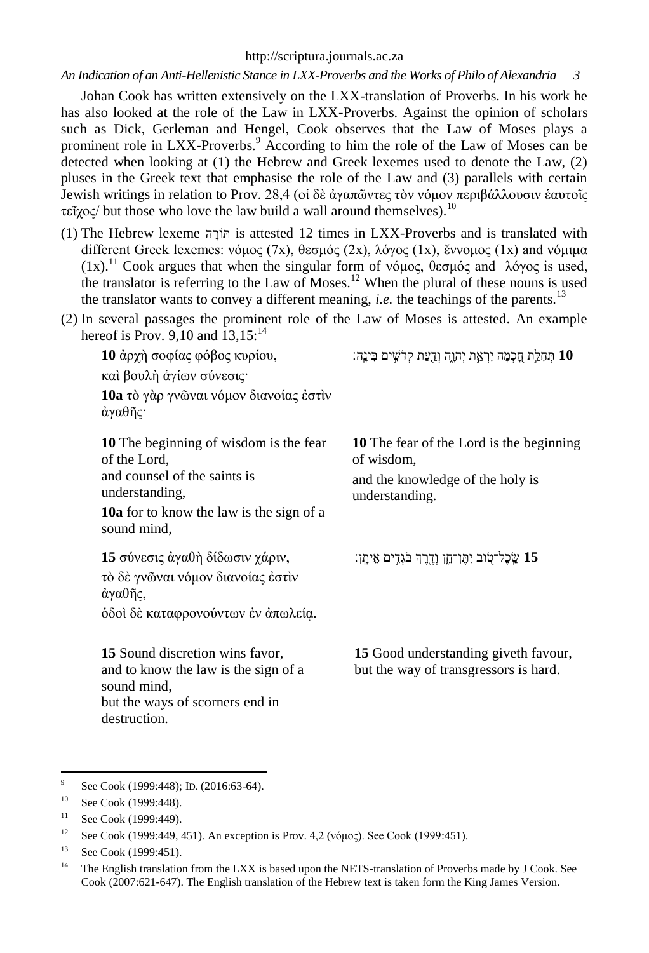http://scriptura.journals.ac.za

*An Indication of an Anti-Hellenistic Stance in LXX-Proverbs and the Works of Philo of Alexandria 3*

Johan Cook has written extensively on the LXX-translation of Proverbs. In his work he has also looked at the role of the Law in LXX-Proverbs. Against the opinion of scholars such as Dick, Gerleman and Hengel, Cook observes that the Law of Moses plays a prominent role in LXX-Proverbs.<sup>9</sup> According to him the role of the Law of Moses can be detected when looking at (1) the Hebrew and Greek lexemes used to denote the Law, (2) pluses in the Greek text that emphasise the role of the Law and (3) parallels with certain Jewish writings in relation to Prov. 28,4 (οἱ δὲ ἀγαπῶντες τὸν νόμον περιβάλλουσιν ἑαυτοῖς τεῖχος/ but those who love the law build a wall around themselves).<sup>10</sup>

- (1) The Hebrew lexeme ה ָורֹתּ is attested 12 times in LXX-Proverbs and is translated with different Greek lexemes: νόμος (7x), θεσμός (2x), λόγος (1x), ἔννομος (1x) and νόμιμα (1x).<sup>11</sup> Cook argues that when the singular form of νόμος, θεσμός and λόγος is used, the translator is referring to the Law of Moses.<sup>12</sup> When the plural of these nouns is used the translator wants to convey a different meaning, *i.e.* the teachings of the parents.<sup>13</sup>
- (2) In several passages the prominent role of the Law of Moses is attested. An example hereof is Prov. 9,10 and  $13.15$ :<sup>14</sup>

**10** ἀρχὴ σοφίας φόβος κυρίου, καὶ βουλὴ ἁγίων σύνεσις· **10a** τὸ γὰρ γνῶναι νόμον διανοίας ἐστὶν ἀγαθῆς· 10 תְּחָלֵת חַכְמָה יִרְאֵת יִהוָה וְדַעַת קַדֹּשֵׁים בְּינֵה: **10** The beginning of wisdom is the fear of the Lord, and counsel of the saints is understanding, **10a** for to know the law is the sign of a sound mind, **10** The fear of the Lord is the beginning of wisdom, and the knowledge of the holy is understanding. **15** σύνεσις ἀγαθὴ δίδωσιν χάριν, τὸ δὲ γνῶναι νόμον διανοίας ἐστὶν ἀγαθῆς, ὁδοὶ δὲ καταφρονούντων ἐν ἀπωλείᾳ. **15** שֵָֽ כֶל־טָֹ֭ וב יִּתֶ ן־חֵָ֑ן וְּ דֶ ַ֖רֶ ְך בֹגְּ דִ ַּ֣ ים אֵ יתָָֽ ן׃ **15** Sound discretion wins favor, and to know the law is the sign of a sound mind, but the ways of scorners end in destruction. **15** Good understanding giveth favour, but the way of transgressors is hard.

<sup>-&</sup>lt;br>9 See Cook (1999:448); ID. (2016:63-64).

<sup>10</sup> See Cook (1999:448).

 $11$  See Cook (1999:449).

<sup>&</sup>lt;sup>12</sup> See Cook (1999:449, 451). An exception is Prov. 4,2 (νόμος). See Cook (1999:451).

<sup>&</sup>lt;sup>13</sup> See Cook (1999:451).

<sup>&</sup>lt;sup>14</sup> The English translation from the LXX is based upon the NETS-translation of Proverbs made by J Cook. See Cook (2007:621-647). The English translation of the Hebrew text is taken form the King James Version.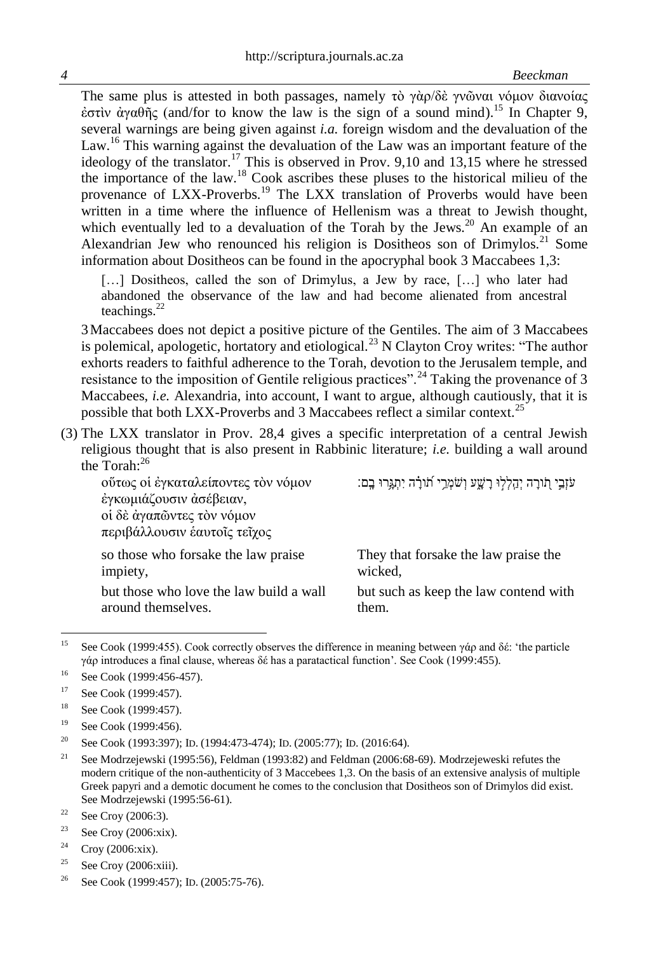The same plus is attested in both passages, namely τὸ γὰρ/δὲ γνῶναι νόμον διανοίας ἐστὶν ἀγαθῆς (and/for to know the law is the sign of a sound mind).<sup>15</sup> In Chapter 9, several warnings are being given against *i.a.* foreign wisdom and the devaluation of the Law.<sup>16</sup> This warning against the devaluation of the Law was an important feature of the ideology of the translator.<sup>17</sup> This is observed in Prov. 9,10 and 13,15 where he stressed the importance of the law.<sup>18</sup> Cook ascribes these pluses to the historical milieu of the provenance of LXX-Proverbs.<sup>19</sup> The LXX translation of Proverbs would have been written in a time where the influence of Hellenism was a threat to Jewish thought, which eventually led to a devaluation of the Torah by the Jews. $^{20}$  An example of an Alexandrian Jew who renounced his religion is Dositheos son of Drimylos.<sup>21</sup> Some information about Dositheos can be found in the apocryphal book 3 Maccabees 1,3:

[...] Dositheos, called the son of Drimylus, a Jew by race, [...] who later had abandoned the observance of the law and had become alienated from ancestral teachings.<sup>22</sup>

3Maccabees does not depict a positive picture of the Gentiles. The aim of 3 Maccabees is polemical, apologetic, hortatory and etiological.<sup>23</sup> N Clayton Croy writes: "The author exhorts readers to faithful adherence to the Torah, devotion to the Jerusalem temple, and resistance to the imposition of Gentile religious practices".<sup>24</sup> Taking the provenance of 3 Maccabees, *i.e.* Alexandria, into account, I want to argue, although cautiously, that it is possible that both LXX-Proverbs and 3 Maccabees reflect a similar context.<sup>25</sup>

(3) The LXX translator in Prov. 28,4 gives a specific interpretation of a central Jewish religious thought that is also present in Rabbinic literature; *i.e.* building a wall around the Torah: $^{26}$ 

οὕτως οἱ ἐγκαταλείποντες τὸν νόμον ἐγκωμιάζουσιν ἀσέβειαν, οἱ δὲ ἀγαπῶντες τὸν νόμον περιβάλλουσιν ἑαυτοῖς τεῖχος

so those who forsake the law praise impiety,

but those who love the law build a wall around themselves.

ֹעֹזֶבֵי תוֹרָה יִהָלְלִוּ רָשָׁע וְשֹׁמְרֵי תוֹרָה יִתְגְרוּ בָם:

They that forsake the law praise the wicked,

but such as keep the law contend with them.

 $15$ See Cook (1999:455). Cook correctly observes the difference in meaning between γάρ and δέ: 'the particle γάρ introduces a final clause, whereas δέ has a paratactical function'. See Cook (1999:455).

<sup>16</sup> See Cook (1999:456-457).

<sup>17</sup> See Cook (1999:457).

<sup>&</sup>lt;sup>18</sup> See Cook (1999:457).

<sup>19</sup> See Cook (1999:456).

<sup>&</sup>lt;sup>20</sup> See Cook (1993:397); ID. (1994:473-474); ID. (2005:77); ID. (2016:64).

<sup>&</sup>lt;sup>21</sup> See Modrzejewski (1995:56), Feldman (1993:82) and Feldman (2006:68-69). Modrzejeweski refutes the modern critique of the non-authenticity of 3 Maccebees 1,3. On the basis of an extensive analysis of multiple Greek papyri and a demotic document he comes to the conclusion that Dositheos son of Drimylos did exist. See Modrzejewski (1995:56-61).

<sup>&</sup>lt;sup>22</sup> See Croy (2006:3).

<sup>&</sup>lt;sup>23</sup> See Croy (2006:xix).

<sup>&</sup>lt;sup>24</sup> Croy (2006:xix).

<sup>&</sup>lt;sup>25</sup> See Croy (2006:xiii).

<sup>&</sup>lt;sup>26</sup> See Cook (1999:457); ID. (2005:75-76).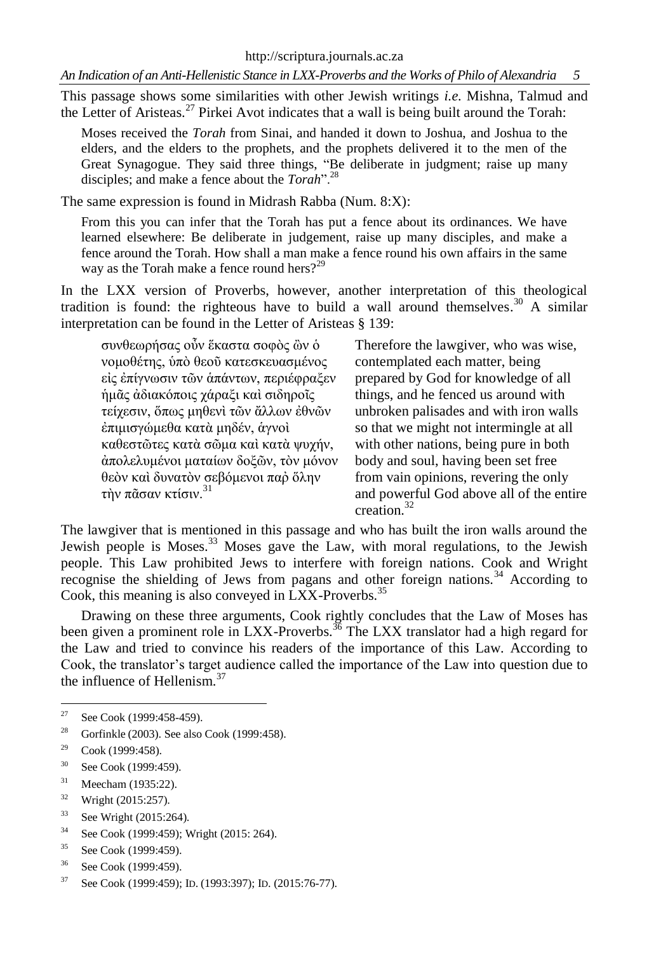*An Indication of an Anti-Hellenistic Stance in LXX-Proverbs and the Works of Philo of Alexandria 5*

This passage shows some similarities with other Jewish writings *i.e.* Mishna, Talmud and the Letter of Aristeas.<sup>27</sup> Pirkei Avot indicates that a wall is being built around the Torah:

Moses received the *Torah* from Sinai, and handed it down to Joshua, and Joshua to the elders, and the elders to the prophets, and the prophets delivered it to the men of the Great Synagogue. They said three things, "Be deliberate in judgment; raise up many disciples; and make a fence about the *Torah*".<sup>28</sup>

The same expression is found in Midrash Rabba (Num. 8:X):

From this you can infer that the Torah has put a fence about its ordinances. We have learned elsewhere: Be deliberate in judgement, raise up many disciples, and make a fence around the Torah. How shall a man make a fence round his own affairs in the same way as the Torah make a fence round hers?<sup>29</sup>

In the LXX version of Proverbs, however, another interpretation of this theological tradition is found: the righteous have to build a wall around themselves. <sup>30</sup> A similar interpretation can be found in the Letter of Aristeas § 139:

συνθεωρήσας οὖν ἕκαστα σοφὸς ὢν ὁ νομοθέτης, ὑπὸ θεοῦ κατεσκευασμένος εἰς ἐπίγνωσιν τῶν ἁπάντων, περιέφραξεν ἡμᾶς ἀδιακόποις χάραξι καὶ σιδηροῖς τείχεσιν, ὅπως μηθενὶ τῶν ἄλλων ἐθνῶν ἐπιμισγώμεθα κατὰ μηδέν, ἁγνοὶ καθεστῶτες κατὰ σῶμα καὶ κατὰ ψυχήν, ἀπολελυμένοι ματαίων δοξῶν, τὸν μόνον θεὸν καὶ δυνατὸν σεβόμενοι παῤ ὅλην τὴν πᾶσαν κτίσιν. $31$ 

Therefore the lawgiver, who was wise, contemplated each matter, being prepared by God for knowledge of all things, and he fenced us around with unbroken palisades and with iron walls so that we might not intermingle at all with other nations, being pure in both body and soul, having been set free from vain opinions, revering the only and powerful God above all of the entire creation<sup>32</sup>

The lawgiver that is mentioned in this passage and who has built the iron walls around the Jewish people is Moses.<sup>33</sup> Moses gave the Law, with moral regulations, to the Jewish people. This Law prohibited Jews to interfere with foreign nations. Cook and Wright recognise the shielding of Jews from pagans and other foreign nations.<sup>34</sup> According to Cook, this meaning is also conveyed in LXX-Proverbs.<sup>35</sup>

Drawing on these three arguments, Cook rightly concludes that the Law of Moses has been given a prominent role in LXX-Proverbs.<sup>36</sup> The LXX translator had a high regard for the Law and tried to convince his readers of the importance of this Law. According to Cook, the translator's target audience called the importance of the Law into question due to the influence of Hellenism.<sup>37</sup>

- <sup>35</sup> See Cook (1999:459).
- <sup>36</sup> See Cook (1999:459).

 $27$ See Cook (1999:458-459).

<sup>28</sup> Gorfinkle (2003). See also Cook (1999:458).

 $29$  Cook (1999:458).

<sup>30</sup> See Cook (1999:459).

<sup>31</sup> Meecham (1935:22).

<sup>32</sup> Wright (2015:257).

<sup>33</sup> See Wright (2015:264).

<sup>34</sup> See Cook (1999:459); Wright (2015: 264).

<sup>37</sup> See Cook (1999:459); ID. (1993:397); ID. (2015:76-77).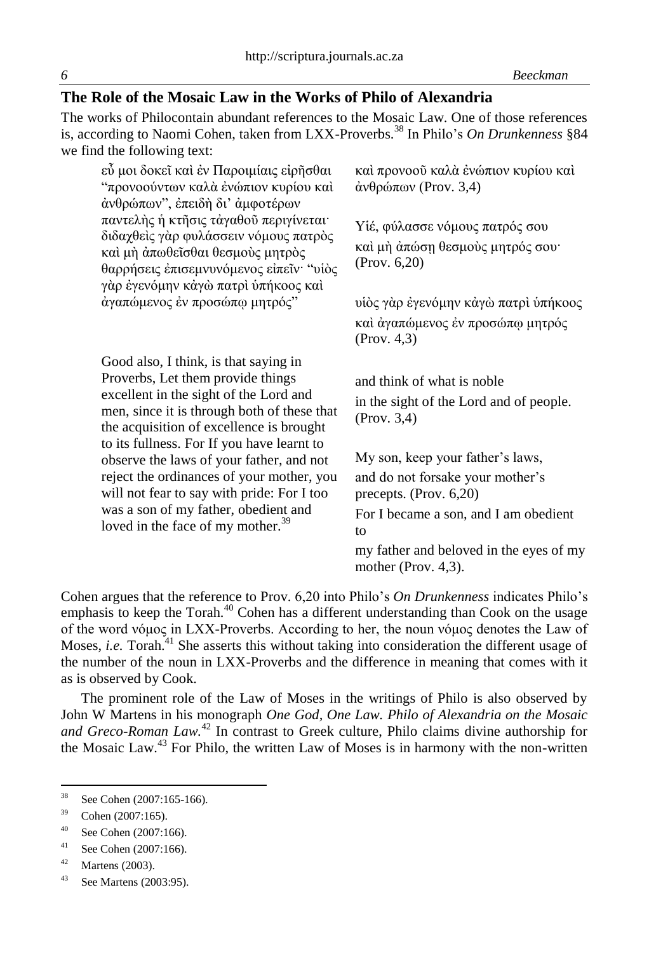## **The Role of the Mosaic Law in the Works of Philo of Alexandria**

The works of Philocontain abundant references to the Mosaic Law. One of those references is, according to Naomi Cohen, taken from LXX-Proverbs.<sup>38</sup> In Philo's *On Drunkenness* §84 we find the following text:

| καὶ προνοοῦ καλὰ ἐνώπιον κυρίου καὶ<br>άνθρώπων (Prov. 3,4)                                                                                                                                                                                                                                                |
|------------------------------------------------------------------------------------------------------------------------------------------------------------------------------------------------------------------------------------------------------------------------------------------------------------|
| Υἱέ, φύλασσε νόμους πατρός σου<br>καί μή άπώση θεσμούς μητρός σου·<br>(Prov. 6, 20)                                                                                                                                                                                                                        |
| υίὸς γὰρ ἐγενόμην κἀγὼ πατρὶ ὑπήκοος                                                                                                                                                                                                                                                                       |
| και άγαπώμενος έν προσώπω μητρός<br>(Prov. 4, 3)                                                                                                                                                                                                                                                           |
| and think of what is noble<br>in the sight of the Lord and of people.<br>(Prov. 3,4)<br>My son, keep your father's laws,<br>and do not forsake your mother's<br>precepts. (Prov. 6,20)<br>For I became a son, and I am obedient<br>to<br>my father and beloved in the eyes of my<br>mother (Prov. $4,3$ ). |
|                                                                                                                                                                                                                                                                                                            |

Cohen argues that the reference to Prov. 6,20 into Philo's *On Drunkenness* indicates Philo's emphasis to keep the Torah.<sup>40</sup> Cohen has a different understanding than Cook on the usage of the word νόμος in LXX-Proverbs. According to her, the noun νόμος denotes the Law of Moses, *i.e.* Torah.<sup>41</sup> She asserts this without taking into consideration the different usage of the number of the noun in LXX-Proverbs and the difference in meaning that comes with it as is observed by Cook.

The prominent role of the Law of Moses in the writings of Philo is also observed by John W Martens in his monograph *One God, One Law. Philo of Alexandria on the Mosaic and Greco-Roman Law.*<sup>42</sup> In contrast to Greek culture, Philo claims divine authorship for the Mosaic Law.<sup>43</sup> For Philo, the written Law of Moses is in harmony with the non-written

<sup>38</sup> See Cohen (2007:165-166).

<sup>39</sup> Cohen (2007:165).

<sup>40</sup> See Cohen (2007:166).

<sup>41</sup> See Cohen (2007:166).

 $42$  Martens (2003).

<sup>43</sup> See Martens (2003:95).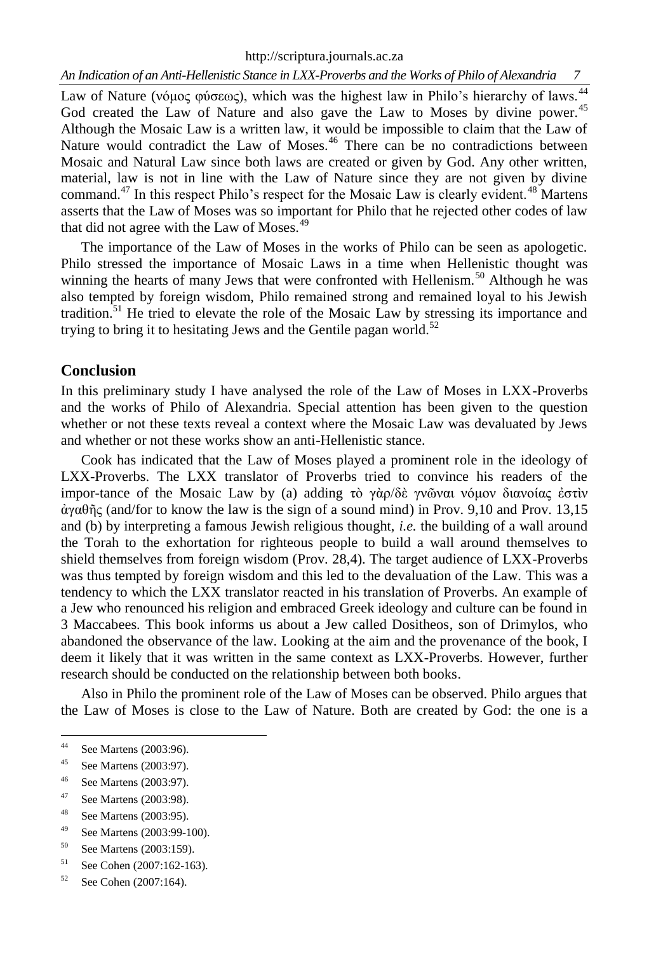http://scriptura.journals.ac.za

*An Indication of an Anti-Hellenistic Stance in LXX-Proverbs and the Works of Philo of Alexandria 7*

Law of Nature (νόμος φύσεως), which was the highest law in Philo's hierarchy of laws.<sup>44</sup> God created the Law of Nature and also gave the Law to Moses by divine power.<sup>45</sup> Although the Mosaic Law is a written law, it would be impossible to claim that the Law of Nature would contradict the Law of Moses.<sup>46</sup> There can be no contradictions between Mosaic and Natural Law since both laws are created or given by God. Any other written, material, law is not in line with the Law of Nature since they are not given by divine command.<sup>47</sup> In this respect Philo's respect for the Mosaic Law is clearly evident.<sup>48</sup> Martens asserts that the Law of Moses was so important for Philo that he rejected other codes of law that did not agree with the Law of Moses.<sup>49</sup>

The importance of the Law of Moses in the works of Philo can be seen as apologetic. Philo stressed the importance of Mosaic Laws in a time when Hellenistic thought was winning the hearts of many Jews that were confronted with Hellenism.<sup>50</sup> Although he was also tempted by foreign wisdom, Philo remained strong and remained loyal to his Jewish tradition.<sup>51</sup> He tried to elevate the role of the Mosaic Law by stressing its importance and trying to bring it to hesitating Jews and the Gentile pagan world.<sup>52</sup>

#### **Conclusion**

In this preliminary study I have analysed the role of the Law of Moses in LXX-Proverbs and the works of Philo of Alexandria. Special attention has been given to the question whether or not these texts reveal a context where the Mosaic Law was devaluated by Jews and whether or not these works show an anti-Hellenistic stance.

Cook has indicated that the Law of Moses played a prominent role in the ideology of LXX-Proverbs. The LXX translator of Proverbs tried to convince his readers of the impor-tance of the Mosaic Law by (a) adding τὸ γὰρ/δὲ γνῶναι νόμον διανοίας ἐστὶν ἀγαθῆς (and/for to know the law is the sign of a sound mind) in Prov. 9,10 and Prov. 13,15 and (b) by interpreting a famous Jewish religious thought, *i.e.* the building of a wall around the Torah to the exhortation for righteous people to build a wall around themselves to shield themselves from foreign wisdom (Prov. 28,4). The target audience of LXX-Proverbs was thus tempted by foreign wisdom and this led to the devaluation of the Law. This was a tendency to which the LXX translator reacted in his translation of Proverbs. An example of a Jew who renounced his religion and embraced Greek ideology and culture can be found in 3 Maccabees. This book informs us about a Jew called Dositheos, son of Drimylos, who abandoned the observance of the law. Looking at the aim and the provenance of the book, I deem it likely that it was written in the same context as LXX-Proverbs. However, further research should be conducted on the relationship between both books.

Also in Philo the prominent role of the Law of Moses can be observed. Philo argues that the Law of Moses is close to the Law of Nature. Both are created by God: the one is a

 $44$ <sup>44</sup> See Martens (2003:96).

See Martens (2003:97).

<sup>46</sup> See Martens (2003:97).

<sup>47</sup> See Martens (2003:98).

<sup>48</sup> See Martens (2003:95).

<sup>49</sup> See Martens (2003:99-100).

<sup>50</sup> See Martens (2003:159).

<sup>51</sup> See Cohen (2007:162-163).

<sup>52</sup> See Cohen (2007:164).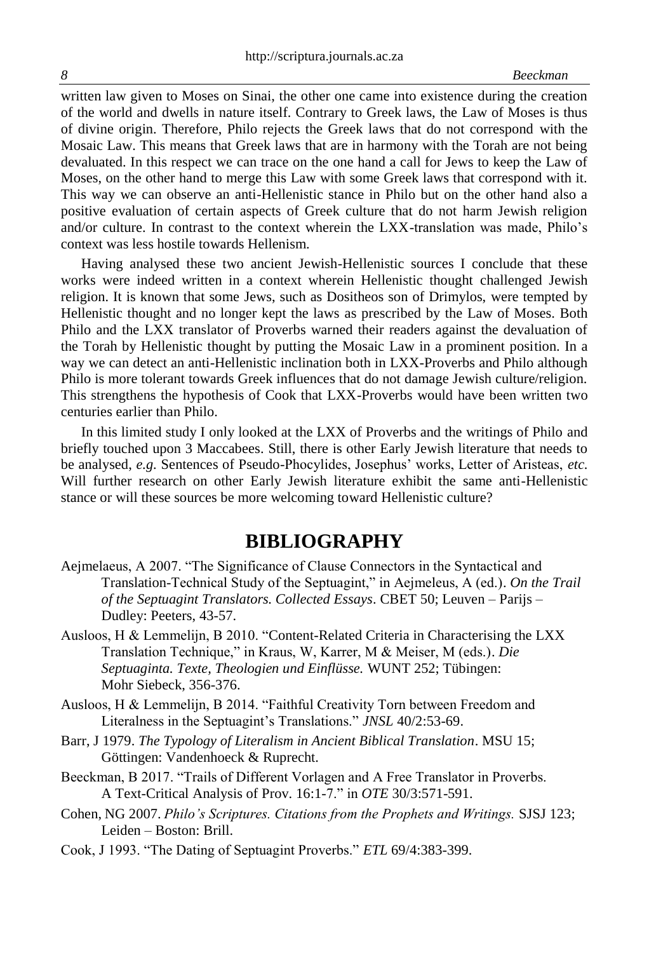written law given to Moses on Sinai, the other one came into existence during the creation of the world and dwells in nature itself. Contrary to Greek laws, the Law of Moses is thus of divine origin. Therefore, Philo rejects the Greek laws that do not correspond with the Mosaic Law. This means that Greek laws that are in harmony with the Torah are not being devaluated. In this respect we can trace on the one hand a call for Jews to keep the Law of Moses, on the other hand to merge this Law with some Greek laws that correspond with it. This way we can observe an anti-Hellenistic stance in Philo but on the other hand also a positive evaluation of certain aspects of Greek culture that do not harm Jewish religion and/or culture. In contrast to the context wherein the LXX-translation was made, Philo's context was less hostile towards Hellenism.

Having analysed these two ancient Jewish-Hellenistic sources I conclude that these works were indeed written in a context wherein Hellenistic thought challenged Jewish religion. It is known that some Jews, such as Dositheos son of Drimylos, were tempted by Hellenistic thought and no longer kept the laws as prescribed by the Law of Moses. Both Philo and the LXX translator of Proverbs warned their readers against the devaluation of the Torah by Hellenistic thought by putting the Mosaic Law in a prominent position. In a way we can detect an anti-Hellenistic inclination both in LXX-Proverbs and Philo although Philo is more tolerant towards Greek influences that do not damage Jewish culture/religion. This strengthens the hypothesis of Cook that LXX-Proverbs would have been written two centuries earlier than Philo.

In this limited study I only looked at the LXX of Proverbs and the writings of Philo and briefly touched upon 3 Maccabees. Still, there is other Early Jewish literature that needs to be analysed, *e.g.* Sentences of Pseudo-Phocylides, Josephus' works, Letter of Aristeas, *etc.* Will further research on other Early Jewish literature exhibit the same anti-Hellenistic stance or will these sources be more welcoming toward Hellenistic culture?

# **BIBLIOGRAPHY**

- Aejmelaeus, A 2007. "The Significance of Clause Connectors in the Syntactical and Translation-Technical Study of the Septuagint," in Aejmeleus, A (ed.). *On the Trail of the Septuagint Translators. Collected Essays*. CBET 50; Leuven – Parijs – Dudley: Peeters, 43-57.
- Ausloos, H & Lemmelijn, B 2010. "Content-Related Criteria in Characterising the LXX Translation Technique," in Kraus, W, Karrer, M & Meiser, M (eds.). *Die Septuaginta. Texte, Theologien und Einflüsse.* WUNT 252; Tübingen: Mohr Siebeck, 356-376.
- Ausloos, H & Lemmelijn, B 2014. "Faithful Creativity Torn between Freedom and Literalness in the Septuagint's Translations." *JNSL* 40/2:53-69.
- Barr, J 1979. *The Typology of Literalism in Ancient Biblical Translation*. MSU 15; Göttingen: Vandenhoeck & Ruprecht.
- Beeckman, B 2017. "Trails of Different Vorlagen and A Free Translator in Proverbs. A Text-Critical Analysis of Prov. 16:1-7." in *OTE* 30/3:571-591.
- Cohen, NG 2007. *Philo's Scriptures. Citations from the Prophets and Writings.* SJSJ 123; Leiden – Boston: Brill.
- Cook, J 1993. "The Dating of Septuagint Proverbs." *ETL* 69/4:383-399.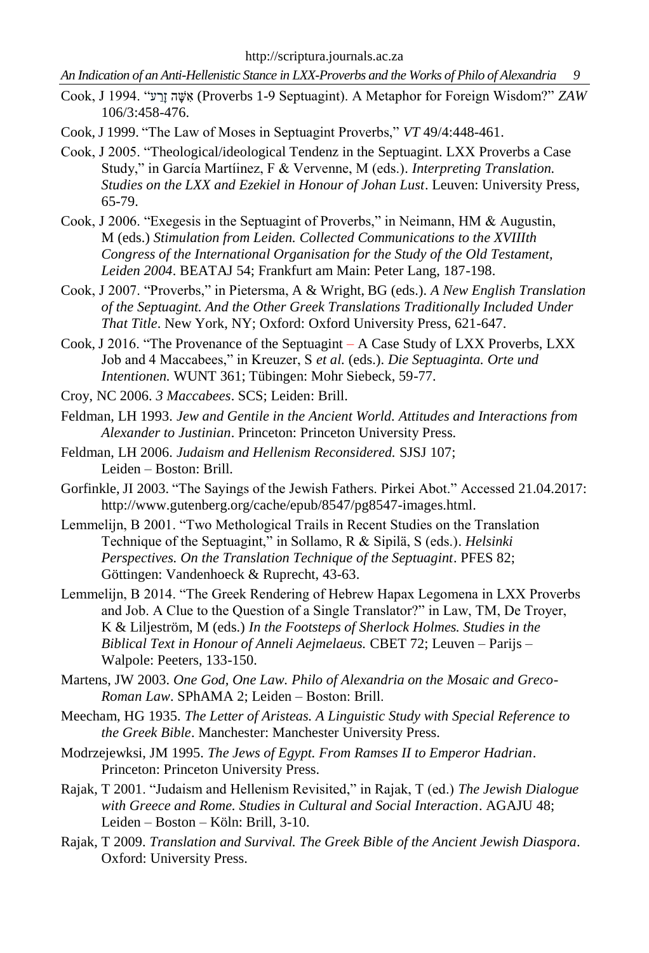*An Indication of an Anti-Hellenistic Stance in LXX-Proverbs and the Works of Philo of Alexandria 9*

- Cook, J 1994. "ע ַרָז ה ָש ִא) Proverbs 1-9 Septuagint). A Metaphor for Foreign Wisdom?" *ZAW*  106/3:458-476.
- Cook, J 1999. "The Law of Moses in Septuagint Proverbs," *VT* 49/4:448-461.
- Cook, J 2005. "Theological/ideological Tendenz in the Septuagint. LXX Proverbs a Case Study," in García Martíinez, F & Vervenne, M (eds.). *Interpreting Translation. Studies on the LXX and Ezekiel in Honour of Johan Lust*. Leuven: University Press, 65-79.
- Cook, J 2006. "Exegesis in the Septuagint of Proverbs," in Neimann, HM & Augustin, M (eds.) *Stimulation from Leiden. Collected Communications to the XVIIIth Congress of the International Organisation for the Study of the Old Testament, Leiden 2004*. BEATAJ 54; Frankfurt am Main: Peter Lang, 187-198.
- Cook, J 2007. "Proverbs," in Pietersma, A & Wright, BG (eds.). *A New English Translation of the Septuagint. And the Other Greek Translations Traditionally Included Under That Title*. New York, NY; Oxford: Oxford University Press, 621-647.
- Cook, J 2016. "The Provenance of the Septuagint A Case Study of LXX Proverbs, LXX Job and 4 Maccabees," in Kreuzer, S *et al.* (eds.). *Die Septuaginta. Orte und Intentionen.* WUNT 361; Tübingen: Mohr Siebeck, 59-77.
- Croy, NC 2006. *3 Maccabees*. SCS; Leiden: Brill.
- Feldman, LH 1993. *Jew and Gentile in the Ancient World. Attitudes and Interactions from Alexander to Justinian*. Princeton: Princeton University Press.
- Feldman, LH 2006. *Judaism and Hellenism Reconsidered.* SJSJ 107; Leiden – Boston: Brill.
- Gorfinkle, JI 2003. "The Sayings of the Jewish Fathers. Pirkei Abot." Accessed 21.04.2017: [http://www.gutenberg.org/cache/epub/8547/pg8547-images.html.](http://www.gutenberg.org/cache/epub/8547/pg8547-images.html)
- Lemmelijn, B 2001. "Two Methological Trails in Recent Studies on the Translation Technique of the Septuagint," in Sollamo, R & Sipilä, S (eds.). *Helsinki Perspectives. On the Translation Technique of the Septuagint*. PFES 82; Göttingen: Vandenhoeck & Ruprecht, 43-63.
- Lemmelijn, B 2014. "The Greek Rendering of Hebrew Hapax Legomena in LXX Proverbs and Job. A Clue to the Question of a Single Translator?" in Law, TM, De Troyer, K & Liljeström, M (eds.) *In the Footsteps of Sherlock Holmes. Studies in the Biblical Text in Honour of Anneli Aejmelaeus.* CBET 72; Leuven – Parijs – Walpole: Peeters, 133-150.
- Martens, JW 2003. *One God, One Law. Philo of Alexandria on the Mosaic and Greco-Roman Law*. SPhAMA 2; Leiden – Boston: Brill.
- Meecham, HG 1935. *The Letter of Aristeas. A Linguistic Study with Special Reference to the Greek Bible*. Manchester: Manchester University Press.
- Modrzejewksi, JM 1995. *The Jews of Egypt. From Ramses II to Emperor Hadrian*. Princeton: Princeton University Press.
- Rajak, T 2001. "Judaism and Hellenism Revisited," in Rajak, T (ed.) *The Jewish Dialogue with Greece and Rome. Studies in Cultural and Social Interaction*. AGAJU 48; Leiden – Boston – Köln: Brill, 3-10.
- Rajak, T 2009. *Translation and Survival. The Greek Bible of the Ancient Jewish Diaspora*. Oxford: University Press.